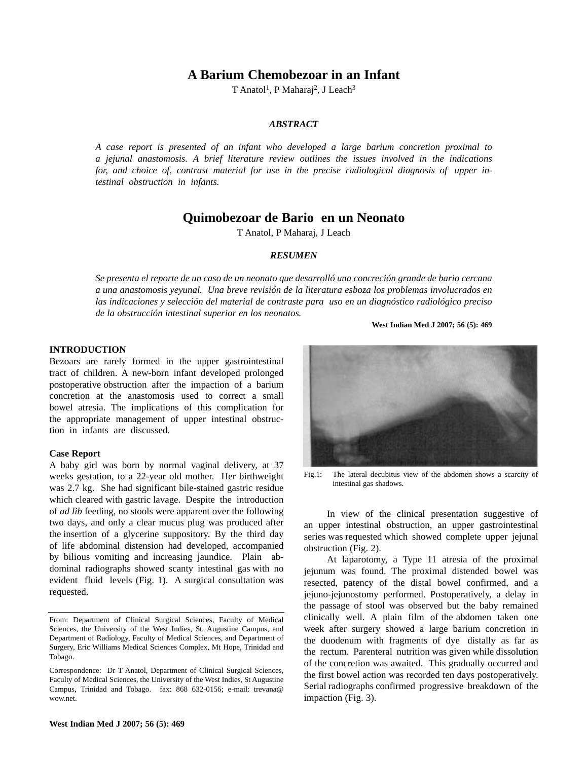# **A Barium Chemobezoar in an Infant**

T Anatol<sup>1</sup>, P Maharaj<sup>2</sup>, J Leach<sup>3</sup>

# *ABSTRACT*

*A case report is presented of an infant who developed a large barium concretion proximal to a jejunal anastomosis. A brief literature review outlines the issues involved in the indications for, and choice of, contrast material for use in the precise radiological diagnosis of upper intestinal obstruction in infants.*

# **Quimobezoar de Bario en un Neonato**

T Anatol, P Maharaj, J Leach

## *RESUMEN*

*Se presenta el reporte de un caso de un neonato que desarrolló una concreción grande de bario cercana a una anastomosis yeyunal. Una breve revisión de la literatura esboza los problemas involucrados en las indicaciones y selección del material de contraste para uso en un diagnóstico radiológico preciso de la obstrucción intestinal superior en los neonatos.*

### **West Indian Med J 2007; 56 (5): 469**

#### **INTRODUCTION**

Bezoars are rarely formed in the upper gastrointestinal tract of children. A new-born infant developed prolonged postoperative obstruction after the impaction of a barium concretion at the anastomosis used to correct a small bowel atresia. The implications of this complication for the appropriate management of upper intestinal obstruction in infants are discussed.

# **Case Report**

A baby girl was born by normal vaginal delivery, at 37 weeks gestation, to a 22-year old mother. Her birthweight was 2.7 kg. She had significant bile-stained gastric residue which cleared with gastric lavage. Despite the introduction of *ad lib* feeding, no stools were apparent over the following two days, and only a clear mucus plug was produced after the insertion of a glycerine suppository. By the third day of life abdominal distension had developed, accompanied by bilious vomiting and increasing jaundice. Plain abdominal radiographs showed scanty intestinal gas with no evident fluid levels (Fig. 1). A surgical consultation was requested.

Correspondence: Dr T Anatol, Department of Clinical Surgical Sciences, Faculty of Medical Sciences, the University of the West Indies, St Augustine Campus, Trinidad and Tobago. fax: 868 632-0156; e-mail: trevana@ wow.net.





Fig.1: The lateral decubitus view of the abdomen shows a scarcity of intestinal gas shadows.

In view of the clinical presentation suggestive of an upper intestinal obstruction, an upper gastrointestinal series was requested which showed complete upper jejunal obstruction (Fig. 2).

At laparotomy, a Type 11 atresia of the proximal jejunum was found. The proximal distended bowel was resected, patency of the distal bowel confirmed, and a jejuno-jejunostomy performed. Postoperatively, a delay in the passage of stool was observed but the baby remained clinically well. A plain film of the abdomen taken one week after surgery showed a large barium concretion in the duodenum with fragments of dye distally as far as the rectum. Parenteral nutrition was given while dissolution of the concretion was awaited. This gradually occurred and the first bowel action was recorded ten days postoperatively. Serial radiographs confirmed progressive breakdown of the impaction (Fig. 3).

From: Department of Clinical Surgical Sciences, Faculty of Medical Sciences, the University of the West Indies, St. Augustine Campus, and Department of Radiology, Faculty of Medical Sciences, and Department of Surgery, Eric Williams Medical Sciences Complex, Mt Hope, Trinidad and Tobago.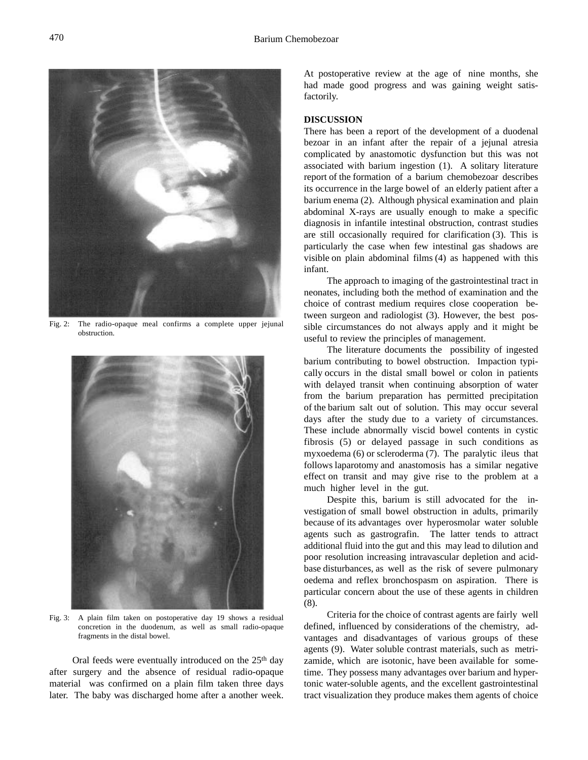Fig. 2: The radio-opaque meal confirms a complete upper jejunal obstruction.



Fig. 3: A plain film taken on postoperative day 19 shows a residual concretion in the duodenum, as well as small radio-opaque fragments in the distal bowel.

Oral feeds were eventually introduced on the 25<sup>th</sup> day after surgery and the absence of residual radio-opaque material was confirmed on a plain film taken three days later. The baby was discharged home after a another week. At postoperative review at the age of nine months, she had made good progress and was gaining weight satisfactorily.

### **DISCUSSION**

There has been a report of the development of a duodenal bezoar in an infant after the repair of a jejunal atresia complicated by anastomotic dysfunction but this was not associated with barium ingestion (1). A solitary literature report of the formation of a barium chemobezoar describes its occurrence in the large bowel of an elderly patient after a barium enema (2). Although physical examination and plain abdominal X-rays are usually enough to make a specific diagnosis in infantile intestinal obstruction, contrast studies are still occasionally required for clarification (3). This is particularly the case when few intestinal gas shadows are visible on plain abdominal films (4) as happened with this infant.

The approach to imaging of the gastrointestinal tract in neonates, including both the method of examination and the choice of contrast medium requires close cooperation between surgeon and radiologist (3). However, the best possible circumstances do not always apply and it might be useful to review the principles of management.

The literature documents the possibility of ingested barium contributing to bowel obstruction. Impaction typically occurs in the distal small bowel or colon in patients with delayed transit when continuing absorption of water from the barium preparation has permitted precipitation of the barium salt out of solution. This may occur several days after the study due to a variety of circumstances. These include abnormally viscid bowel contents in cystic fibrosis (5) or delayed passage in such conditions as myxoedema (6) or scleroderma (7). The paralytic ileus that follows laparotomy and anastomosis has a similar negative effect on transit and may give rise to the problem at a much higher level in the gut.

Despite this, barium is still advocated for the investigation of small bowel obstruction in adults, primarily because of its advantages over hyperosmolar water soluble agents such as gastrografin. The latter tends to attract additional fluid into the gut and this may lead to dilution and poor resolution increasing intravascular depletion and acidbase disturbances, as well as the risk of severe pulmonary oedema and reflex bronchospasm on aspiration. There is particular concern about the use of these agents in children (8).

Criteria for the choice of contrast agents are fairly well defined, influenced by considerations of the chemistry, advantages and disadvantages of various groups of these agents (9). Water soluble contrast materials, such as metrizamide, which are isotonic, have been available for sometime. They possess many advantages over barium and hypertonic water-soluble agents, and the excellent gastrointestinal tract visualization they produce makes them agents of choice